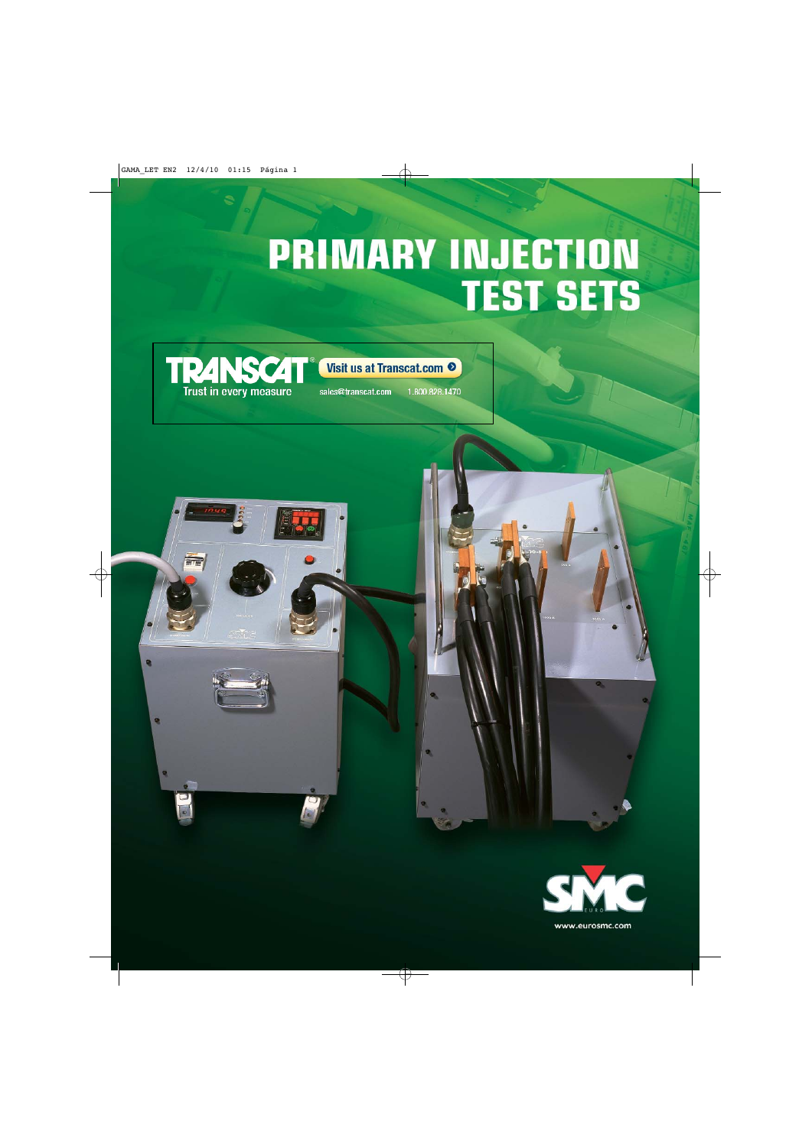# **PRIMARY INJECTION TEST SETS**





sales@transcat.com

1.800.828.1470



ø



www.eurosmc.com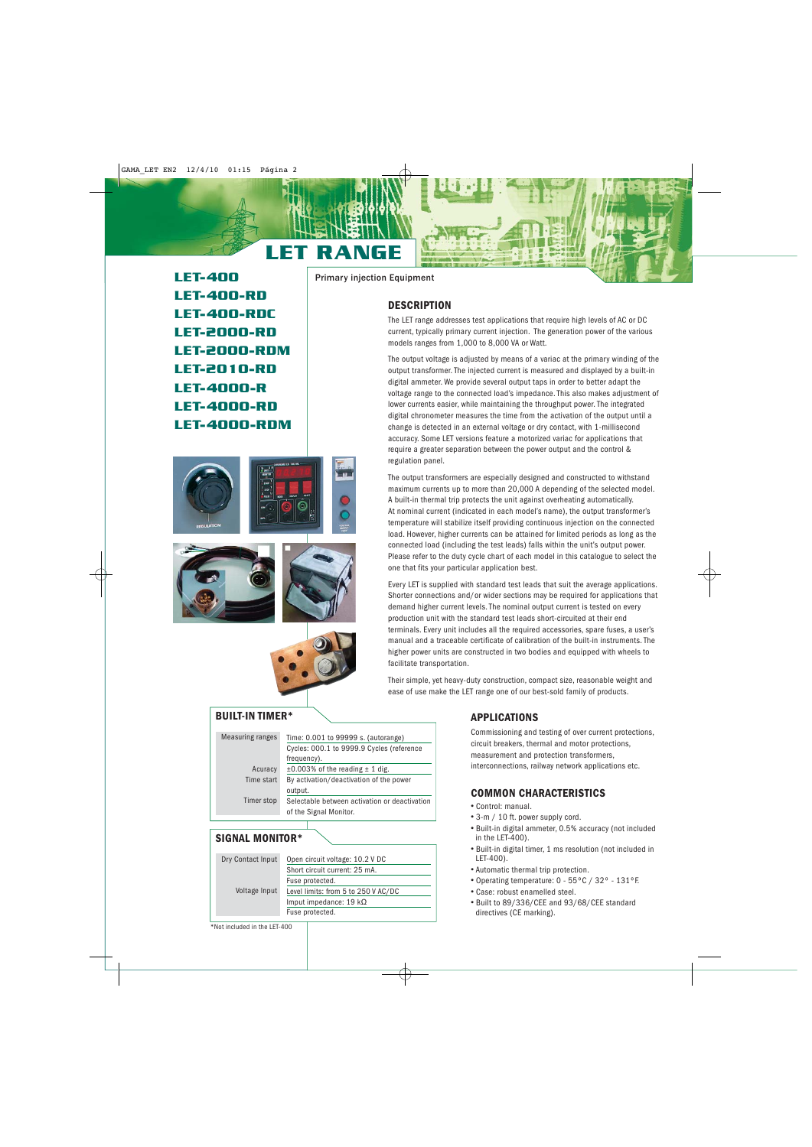# LET RANGE

LET-400 LET-400-RD LET-400-RDC LET-2000-RD LET-2000-RDM LET-2010-RD LET-4000-R LET-4000-RD LET-4000-RDM









#### **BUILT-IN TIMER\***

| Measuring ranges | Time: 0.001 to 99999 s. (autorange)           |
|------------------|-----------------------------------------------|
|                  | Cycles: 000.1 to 9999.9 Cycles (reference     |
|                  | frequency).                                   |
| Acuracy          | $\pm 0.003\%$ of the reading $\pm 1$ dig.     |
| Time start       | By activation/deactivation of the power       |
|                  | output.                                       |
| Timer stop       | Selectable between activation or deactivation |
|                  | of the Signal Monitor.                        |
|                  |                                               |

#### **SIGNAL MONITOR\***

| Dry Contact Input | Open circuit voltage: 10.2 V DC     |
|-------------------|-------------------------------------|
|                   | Short circuit current: 25 mA.       |
|                   | Fuse protected.                     |
| Voltage Input     | Level limits: from 5 to 250 V AC/DC |
|                   | Imput impedance: 19 $k\Omega$       |
|                   | Fuse protected.                     |

Primary injection Equipment

# **DESCRIPTION**

The LET range addresses test applications that require high levels of AC or DC current, typically primary current injection. The generation power of the various models ranges from 1,000 to 8,000 VA or Watt.

The output voltage is adjusted by means of a variac at the primary winding of the output transformer. The injected current is measured and displayed by a built-in digital ammeter. We provide several output taps in order to better adapt the voltage range to the connected load's impedance. This also makes adjustment of lower currents easier, while maintaining the throughput power. The integrated digital chronometer measures the time from the activation of the output until a change is detected in an external voltage or dry contact, with 1-millisecond accuracy. Some LET versions feature a motorized variac for applications that require a greater separation between the power output and the control & regulation panel.

The output transformers are especially designed and constructed to withstand maximum currents up to more than 20,000 A depending of the selected model. A built-in thermal trip protects the unit against overheating automatically. At nominal current (indicated in each model's name), the output transformer's temperature will stabilize itself providing continuous injection on the connected load. However, higher currents can be attained for limited periods as long as the connected load (including the test leads) falls within the unit's output power. Please refer to the duty cycle chart of each model in this catalogue to select the one that fits your particular application best.

Every LET is supplied with standard test leads that suit the average applications. Shorter connections and/or wider sections may be required for applications that demand higher current levels. The nominal output current is tested on every production unit with the standard test leads short-circuited at their end terminals. Every unit includes all the required accessories, spare fuses, a user's manual and a traceable certificate of calibration of the built-in instruments. The higher power units are constructed in two bodies and equipped with wheels to facilitate transportation.

Their simple, yet heavy-duty construction, compact size, reasonable weight and ease of use make the LET range one of our best-sold family of products.

#### **APPLICATIONS**

Commissioning and testing of over current protections, circuit breakers, thermal and motor protections, measurement and protection transformers, interconnections, railway network applications etc.

#### **COMMON CHARACTERISTICS**

- Control: manual.
- 3-m / 10 ft. power supply cord.
- Built-in digital ammeter, 0.5% accuracy (not included in the LET-400).
- Built-in digital timer, 1 ms resolution (not included in LET-400).
- Automatic thermal trip protection.
- Operating temperature: 0 55ºC / 32º 131ºF.
- Case: robust enamelled steel.
- Built to 89/336/CEE and 93/68/CEE standard directives (CE marking).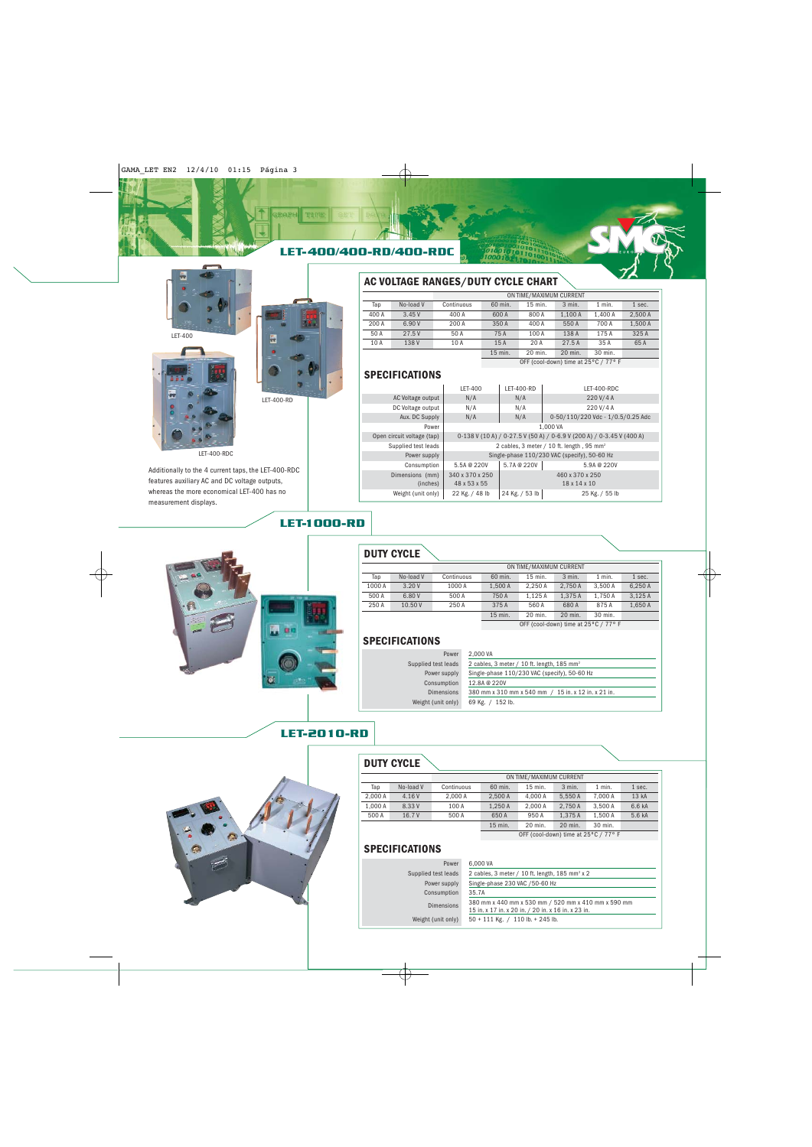





LET-400-RDC

Additionally to the 4 current taps, the LET-400-RDC features auxiliary AC and DC voltage outputs, whereas the more economical LET-400 has no measurement displays.

# **AC VOLTAGE RANGES/DUTY CYCLE CHART**

|       |           |            |         | ON TIME/MAXIMUM CURRENT              |          |          |         |
|-------|-----------|------------|---------|--------------------------------------|----------|----------|---------|
| Tap   | No-load V | Continuous | 60 min. | 15 min.                              | $3$ min. | $1$ min. | 1 sec.  |
| 400 A | 3.45V     | 400 A      | 600 A   | 800 A                                | 1.100 A  | 1.400 A  | 2.500 A |
| 200 A | 6.90 V    | 200 A      | 350 A   | 400 A                                | 550 A    | 700 A    | 1.500 A |
| 50 A  | 27.5V     | 50 A       | 75 A    | 100 A                                | 138 A    | 175 A    | 325 A   |
| 10 A  | 138 V     | 10 A       | 15A     | 20 A                                 | 27.5A    | 35 A     | 65A     |
|       |           |            | 15 min. | 20 min.                              | 20 min.  | 30 min.  |         |
|       |           |            |         | OFF (cool-down) time at 25°C / 77° F |          |          |         |

#### **SPECIFICATIONS**

|                             | LET-400                                                               | LET-400-RD     | LET-400-RDC                                           |  |  |
|-----------------------------|-----------------------------------------------------------------------|----------------|-------------------------------------------------------|--|--|
| AC Voltage output           | N/A                                                                   | N/A            | 220 V/4 A                                             |  |  |
| DC Voltage output           | N/A                                                                   | N/A            | 220 V/4 A                                             |  |  |
| Aux. DC Supply              | N/A                                                                   | N/A            | 0-50/110/220 Vdc - 1/0.5/0.25 Adc                     |  |  |
| Power                       |                                                                       |                | 1.000 VA                                              |  |  |
| Open circuit voltage (tap)  | 0-138 V (10 A) / 0-27.5 V (50 A) / 0-6.9 V (200 A) / 0-3.45 V (400 A) |                |                                                       |  |  |
| Supplied test leads         |                                                                       |                | 2 cables, 3 meter / 10 ft. length, 95 mm <sup>2</sup> |  |  |
| Power supply                |                                                                       |                | Single-phase 110/230 VAC (specify), 50-60 Hz          |  |  |
| Consumption                 | 5.5A @ 220V                                                           | 5.7A @ 220V    | 5.9A @ 220V                                           |  |  |
| Dimensions (mm)<br>(inches) | 340 x 370 x 250<br>48 x 53 x 55                                       |                | 460 x 370 x 250<br>18 x 14 x 10                       |  |  |
| Weight (unit only)          | 22 Kg. / 48 lb                                                        | 24 Kg. / 53 lb | 25 Kg. / 55 lb                                        |  |  |

# LET-1000-RD

LET-2010-RD



# **DUTY CYCLE**

|        |           |            |         | ON TIME/MAXIMUM CURRENT              |          |          |         |
|--------|-----------|------------|---------|--------------------------------------|----------|----------|---------|
| Tap    | No-load V | Continuous | 60 min. | 15 min.                              | $3$ min. | $1$ min. | 1 sec.  |
| 1000 A | 3.20V     | 1000 A     | 1.500 A | 2.250A                               | 2.750 A  | 3.500 A  | 6,250 A |
| 500 A  | 6.80 V    | 500 A      | 750 A   | 1.125 A                              | 1.375 A  | 1.750 A  | 3,125A  |
| 250 A  | 10.50 V   | 250 A      | 375 A   | 560 A                                | 680A     | 875A     | 1.650 A |
|        |           |            | 15 min. | 20 min.                              | 20 min.  | 30 min.  |         |
|        |           |            |         | OFF (cool-down) time at 25°C / 77° F |          |          |         |

# **SPECIFICATIONS**

| Power               | 2.000 VA                                                 |
|---------------------|----------------------------------------------------------|
| Supplied test leads | 2 cables, 3 meter / 10 ft. length, $185$ mm <sup>2</sup> |
| Power supply        | Single-phase 110/230 VAC (specify), 50-60 Hz             |
| Consumption         | 12.8A @ 220V                                             |
| <b>Dimensions</b>   | 380 mm x 310 mm x 540 mm / 15 in. x 12 in. x 21 in.      |
| Weight (unit only)  | 69 Kg. / 152 lb.                                         |



# **DUTY CYCLE**

|         |           |            |         | ON TIME/MAXIMUM CURRENT |         |          |        |
|---------|-----------|------------|---------|-------------------------|---------|----------|--------|
| Tap     | No-load V | Continuous | 60 min. | $15$ min.               | 3 min.  | $1$ min. | 1 sec. |
| 2.000 A | 4.16 V    | 2.000 A    | 2.500A  | 4.000 A                 | 5.550 A | 7.000 A  | 13 kA  |
| 1.000 A | 8.33V     | 100 A      | 1.250 A | 2.000 A                 | 2.750 A | 3.500 A  | 6.6 kA |
| 500 A   | 16.7 V    | 500 A      | 650 A   | 950 A                   | 1.375 A | 1.500 A  | 5.6 kA |
|         |           |            | 15 min. | 20 min.                 | 20 min. | 30 min.  |        |

OFF (cool-down) time at 25°C / 77° F

# **SPECIFICATIONS**

| Power               | 6,000 VA                                                                                                   |
|---------------------|------------------------------------------------------------------------------------------------------------|
| Supplied test leads | 2 cables, 3 meter / 10 ft. length, $185$ mm <sup>2</sup> x 2                                               |
| Power supply        | Single-phase 230 VAC / 50-60 Hz                                                                            |
| Consumption         | 35.7A                                                                                                      |
| <b>Dimensions</b>   | 380 mm x 440 mm x 530 mm / 520 mm x 410 mm x 590 mm<br>15 in. x 17 in. x 20 in. / 20 in. x 16 in. x 23 in. |
| Weight (unit only)  | $50 + 111$ Kg. / 110 lb. + 245 lb.                                                                         |